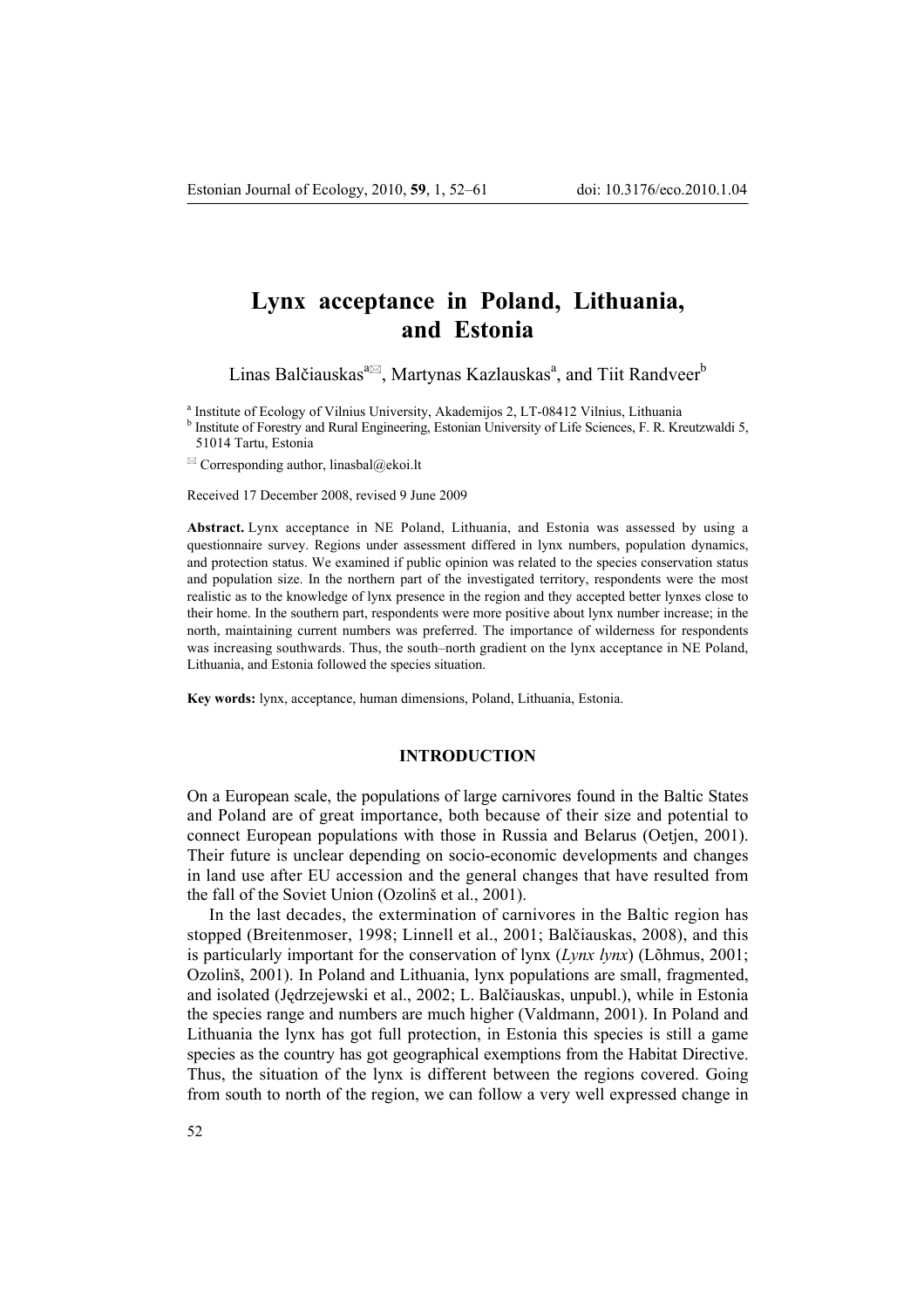# **Lynx acceptance in Poland, Lithuania, and Estonia**

Linas Balčiauskas $^{a\boxtimes}$ , Martynas Kazlauskas<sup>a</sup>, and Tiit Randveer<sup>b</sup>

<sup>a</sup> Institute of Ecology of Vilnius University, Akademijos 2, LT-08412 Vilnius, Lithuania

<sup>b</sup> Institute of Forestry and Rural Engineering, Estonian University of Life Sciences, F. R. Kreutzwaldi 5, 51014 Tartu, Estonia

 $\boxtimes$  Corresponding author, linasbal@ekoi.lt

Received 17 December 2008, revised 9 June 2009

**Abstract.** Lynx acceptance in NE Poland, Lithuania, and Estonia was assessed by using a questionnaire survey. Regions under assessment differed in lynx numbers, population dynamics, and protection status. We examined if public opinion was related to the species conservation status and population size. In the northern part of the investigated territory, respondents were the most realistic as to the knowledge of lynx presence in the region and they accepted better lynxes close to their home. In the southern part, respondents were more positive about lynx number increase; in the north, maintaining current numbers was preferred. The importance of wilderness for respondents was increasing southwards. Thus, the south-north gradient on the lynx acceptance in NE Poland, Lithuania, and Estonia followed the species situation.

**Key words:** lynx, acceptance, human dimensions, Poland, Lithuania, Estonia.

## **INTRODUCTION**

On a European scale, the populations of large carnivores found in the Baltic States and Poland are of great importance, both because of their size and potential to connect European populations with those in Russia and Belarus (Oetjen, 2001). Their future is unclear depending on socio-economic developments and changes in land use after EU accession and the general changes that have resulted from the fall of the Soviet Union (Ozolinö et al., 2001).

In the last decades, the extermination of carnivores in the Baltic region has stopped (Breitenmoser, 1998; Linnell et al., 2001; Balčiauskas, 2008), and this is particularly important for the conservation of lynx (*Lynx lynx*) (Lõhmus, 2001; Ozolinö, 2001). In Poland and Lithuania, lynx populations are small, fragmented, and isolated (Jędrzejewski et al., 2002; L. Balčiauskas, unpubl.), while in Estonia the species range and numbers are much higher (Valdmann, 2001). In Poland and Lithuania the lynx has got full protection, in Estonia this species is still a game species as the country has got geographical exemptions from the Habitat Directive. Thus, the situation of the lynx is different between the regions covered. Going from south to north of the region, we can follow a very well expressed change in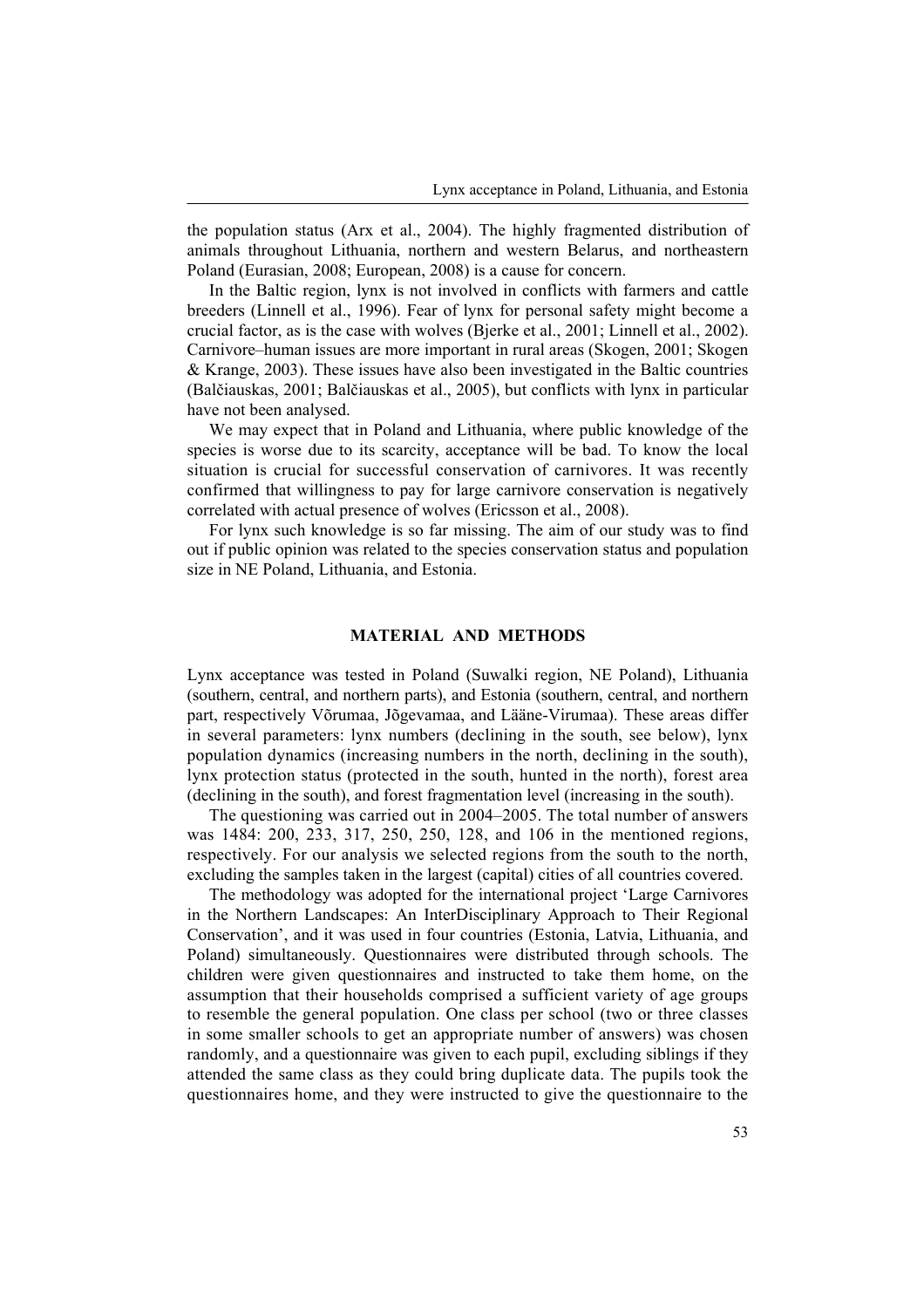the population status (Arx et al., 2004). The highly fragmented distribution of animals throughout Lithuania, northern and western Belarus, and northeastern Poland (Eurasian, 2008; European, 2008) is a cause for concern.

In the Baltic region, lynx is not involved in conflicts with farmers and cattle breeders (Linnell et al., 1996). Fear of lynx for personal safety might become a crucial factor, as is the case with wolves (Bjerke et al., 2001; Linnell et al., 2002). Carnivore–human issues are more important in rural areas (Skogen, 2001; Skogen & Krange, 2003). These issues have also been investigated in the Baltic countries (Balčiauskas, 2001; Balčiauskas et al., 2005), but conflicts with lynx in particular have not been analysed.

We may expect that in Poland and Lithuania, where public knowledge of the species is worse due to its scarcity, acceptance will be bad. To know the local situation is crucial for successful conservation of carnivores. It was recently confirmed that willingness to pay for large carnivore conservation is negatively correlated with actual presence of wolves (Ericsson et al., 2008).

For lynx such knowledge is so far missing. The aim of our study was to find out if public opinion was related to the species conservation status and population size in NE Poland, Lithuania, and Estonia.

## **MATERIAL AND METHODS**

Lynx acceptance was tested in Poland (Suwalki region, NE Poland), Lithuania (southern, central, and northern parts), and Estonia (southern, central, and northern part, respectively Võrumaa, Jõgevamaa, and Lääne-Virumaa). These areas differ in several parameters: lynx numbers (declining in the south, see below), lynx population dynamics (increasing numbers in the north, declining in the south), lynx protection status (protected in the south, hunted in the north), forest area (declining in the south), and forest fragmentation level (increasing in the south).

The questioning was carried out in 2004–2005. The total number of answers was 1484: 200, 233, 317, 250, 250, 128, and 106 in the mentioned regions, respectively. For our analysis we selected regions from the south to the north, excluding the samples taken in the largest (capital) cities of all countries covered.

The methodology was adopted for the international project 'Large Carnivores' in the Northern Landscapes: An InterDisciplinary Approach to Their Regional Conservation', and it was used in four countries (Estonia, Latvia, Lithuania, and Poland) simultaneously. Questionnaires were distributed through schools. The children were given questionnaires and instructed to take them home, on the assumption that their households comprised a sufficient variety of age groups to resemble the general population. One class per school (two or three classes in some smaller schools to get an appropriate number of answers) was chosen randomly, and a questionnaire was given to each pupil, excluding siblings if they attended the same class as they could bring duplicate data. The pupils took the questionnaires home, and they were instructed to give the questionnaire to the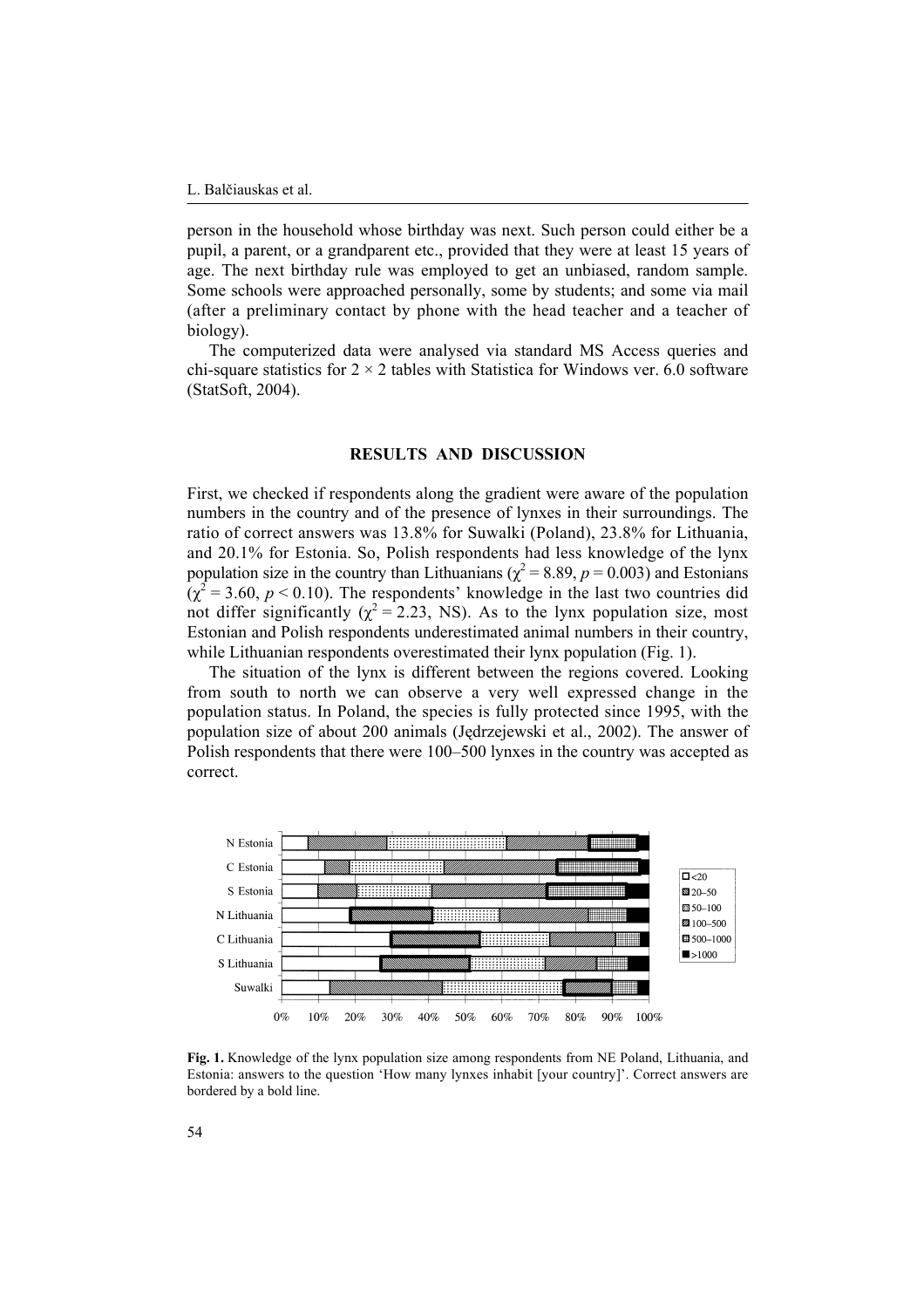person in the household whose birthday was next. Such person could either be a pupil, a parent, or a grandparent etc., provided that they were at least 15 years of age. The next birthday rule was employed to get an unbiased, random sample. Some schools were approached personally, some by students; and some via mail (after a preliminary contact by phone with the head teacher and a teacher of biology).

The computerized data were analysed via standard MS Access queries and chi-square statistics for  $2 \times 2$  tables with Statistica for Windows ver. 6.0 software (StatSoft, 2004).

## **RESULTS AND DISCUSSION**

First, we checked if respondents along the gradient were aware of the population numbers in the country and of the presence of lynxes in their surroundings. The ratio of correct answers was 13.8% for Suwalki (Poland), 23.8% for Lithuania, and 20.1% for Estonia. So, Polish respondents had less knowledge of the lynx population size in the country than Lithuanians ( $\chi^2 = 8.89$ ,  $p = 0.003$ ) and Estonians  $(\chi^2 = 3.60, p < 0.10)$ . The respondents' knowledge in the last two countries did not differ significantly ( $\chi^2$  = 2.23, NS). As to the lynx population size, most Estonian and Polish respondents underestimated animal numbers in their country, while Lithuanian respondents overestimated their lynx population (Fig. 1).

The situation of the lynx is different between the regions covered. Looking from south to north we can observe a very well expressed change in the population status. In Poland, the species is fully protected since 1995, with the population size of about 200 animals (Jędrzejewski et al., 2002). The answer of Polish respondents that there were 100–500 lynxes in the country was accepted as correct.



**Fig. 1.** Knowledge of the lynx population size among respondents from NE Poland, Lithuania, and Estonia: answers to the question 'How many lynxes inhabit [your country]'. Correct answers are bordered by a bold line.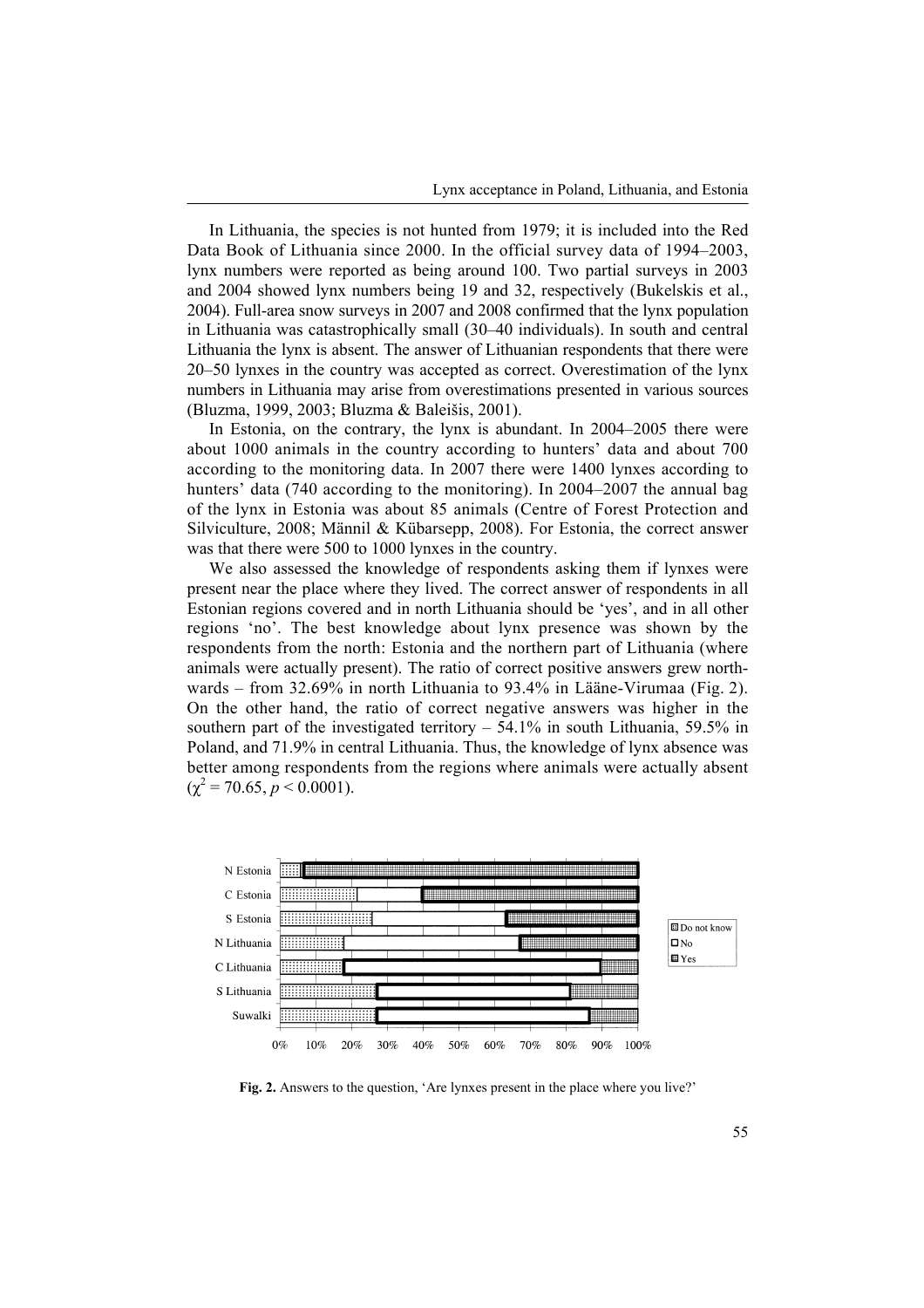In Lithuania, the species is not hunted from 1979; it is included into the Red Data Book of Lithuania since 2000. In the official survey data of 1994–2003, lynx numbers were reported as being around 100. Two partial surveys in 2003 and 2004 showed lynx numbers being 19 and 32, respectively (Bukelskis et al., 2004). Full-area snow surveys in 2007 and 2008 confirmed that the lynx population in Lithuania was catastrophically small (30-40 individuals). In south and central Lithuania the lynx is absent. The answer of Lithuanian respondents that there were  $20-50$  lynxes in the country was accepted as correct. Overestimation of the lynx numbers in Lithuania may arise from overestimations presented in various sources (Bluzma, 1999, 2003; Bluzma & Baleiöis, 2001).

In Estonia, on the contrary, the lynx is abundant. In  $2004-2005$  there were about 1000 animals in the country according to hunters' data and about 700 according to the monitoring data. In 2007 there were 1400 lynxes according to hunters' data (740 according to the monitoring). In  $2004-2007$  the annual bag of the lynx in Estonia was about 85 animals (Centre of Forest Protection and Silviculture, 2008; Männil & Kübarsepp, 2008). For Estonia, the correct answer was that there were 500 to 1000 lynxes in the country.

We also assessed the knowledge of respondents asking them if lynxes were present near the place where they lived. The correct answer of respondents in all Estonian regions covered and in north Lithuania should be 'yes', and in all other regions 'no'. The best knowledge about lynx presence was shown by the respondents from the north: Estonia and the northern part of Lithuania (where animals were actually present). The ratio of correct positive answers grew northwards – from 32.69% in north Lithuania to 93.4% in Lääne-Virumaa (Fig. 2). On the other hand, the ratio of correct negative answers was higher in the southern part of the investigated territory  $-54.1\%$  in south Lithuania, 59.5% in Poland, and 71.9% in central Lithuania. Thus, the knowledge of lynx absence was better among respondents from the regions where animals were actually absent  $(\chi^2 = 70.65, p \le 0.0001).$ 



Fig. 2. Answers to the question, 'Are lynxes present in the place where you live?'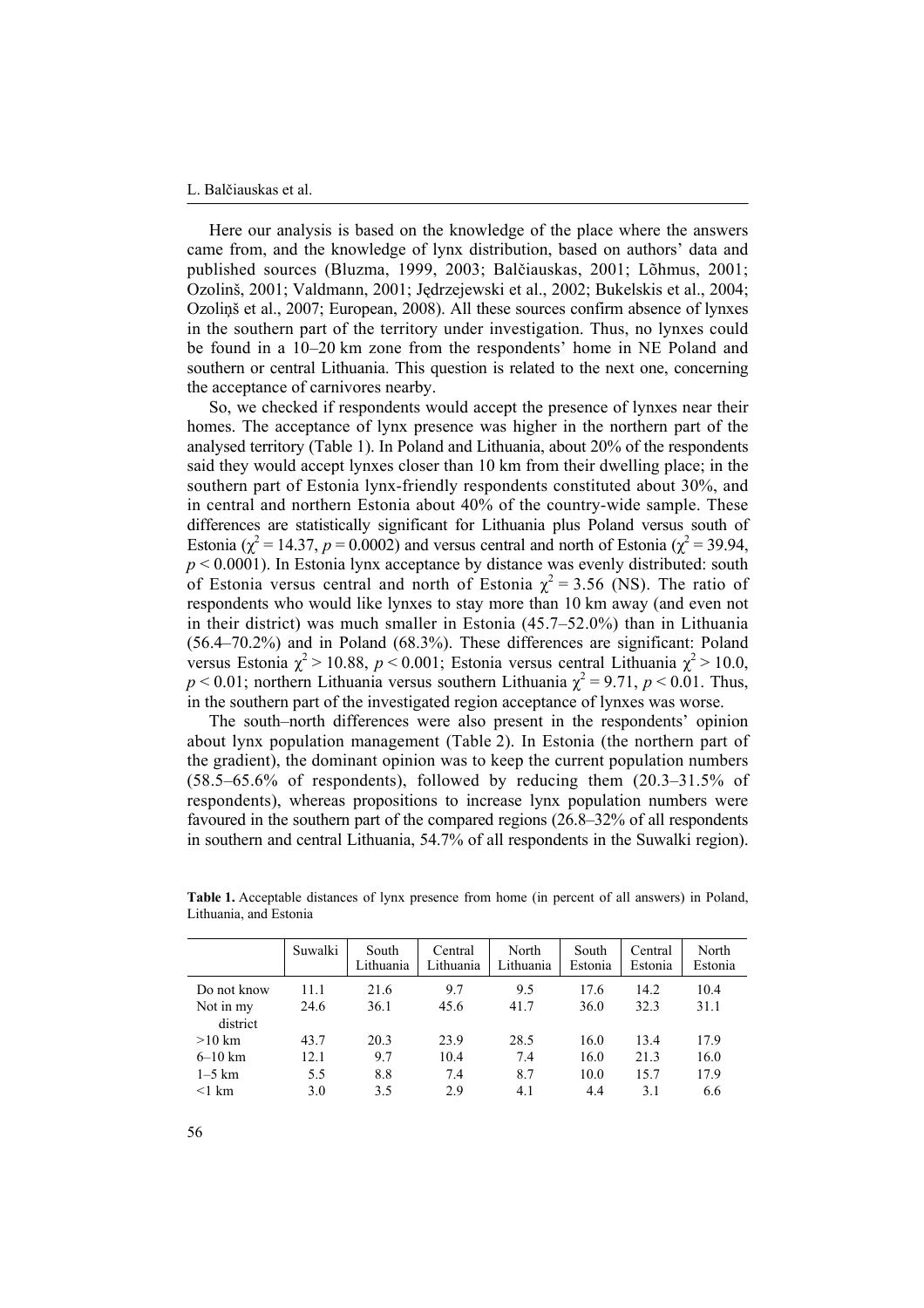#### L. Balčiauskas et al.

Here our analysis is based on the knowledge of the place where the answers came from, and the knowledge of lynx distribution, based on authors' data and published sources (Bluzma, 1999, 2003; Balčiauskas, 2001; Lõhmus, 2001; Ozolinö, 2001; Valdmann, 2001; Jędrzejewski et al., 2002; Bukelskis et al., 2004; Ozoliņö et al., 2007; European, 2008). All these sources confirm absence of lynxes in the southern part of the territory under investigation. Thus, no lynxes could be found in a 10–20 km zone from the respondents' home in NE Poland and southern or central Lithuania. This question is related to the next one, concerning the acceptance of carnivores nearby.

So, we checked if respondents would accept the presence of lynxes near their homes. The acceptance of lynx presence was higher in the northern part of the analysed territory (Table 1). In Poland and Lithuania, about 20% of the respondents said they would accept lynxes closer than 10 km from their dwelling place; in the southern part of Estonia lynx-friendly respondents constituted about 30%, and in central and northern Estonia about 40% of the country-wide sample. These differences are statistically significant for Lithuania plus Poland versus south of Estonia ( $\chi^2$  = 14.37, *p* = 0.0002) and versus central and north of Estonia ( $\chi^2$  = 39.94,  $p$  < 0.0001). In Estonia lynx acceptance by distance was evenly distributed: south of Estonia versus central and north of Estonia  $\chi^2 = 3.56$  (NS). The ratio of respondents who would like lynxes to stay more than 10 km away (and even not in their district) was much smaller in Estonia  $(45.7–52.0%)$  than in Lithuania  $(56.4–70.2%)$  and in Poland  $(68.3%)$ . These differences are significant: Poland versus Estonia  $\chi^2$  > 10.88, *p* < 0.001; Estonia versus central Lithuania  $\chi^2$  > 10.0,  $p < 0.01$ ; northern Lithuania versus southern Lithuania  $\chi^2 = 9.71$ ,  $p < 0.01$ . Thus, in the southern part of the investigated region acceptance of lynxes was worse.

The south-north differences were also present in the respondents' opinion about lynx population management (Table 2). In Estonia (the northern part of the gradient), the dominant opinion was to keep the current population numbers  $(58.5–65.6\%$  of respondents), followed by reducing them  $(20.3–31.5\%$  of respondents), whereas propositions to increase lynx population numbers were favoured in the southern part of the compared regions  $(26.8-32\%$  of all respondents in southern and central Lithuania, 54.7% of all respondents in the Suwalki region).

|             | Suwalki | South<br>Lithuania | Central<br>Lithuania | North<br>Lithuania | South<br>Estonia | Central<br>Estonia | North<br>Estonia |
|-------------|---------|--------------------|----------------------|--------------------|------------------|--------------------|------------------|
| Do not know | 11.1    | 21.6               | 9.7                  | 9.5                | 17.6             | 14.2               | 10.4             |
| Not in my   | 24.6    | 36.1               | 45.6                 | 41.7               | 36.0             | 32.3               | 31.1             |
| district    |         |                    |                      |                    |                  |                    |                  |
| $>10$ km    | 43.7    | 20.3               | 23.9                 | 28.5               | 16.0             | 13.4               | 17.9             |
| $6 - 10$ km | 12.1    | 9.7                | 10.4                 | 7.4                | 16.0             | 21.3               | 16.0             |
| $1-5$ km    | 5.5     | 8.8                | 7.4                  | 8.7                | 10.0             | 15.7               | 17.9             |
| $<$ 1 km    | 3.0     | 3.5                | 2.9                  | 4.1                | 4.4              | 3.1                | 6.6              |

**Table 1.** Acceptable distances of lynx presence from home (in percent of all answers) in Poland, Lithuania, and Estonia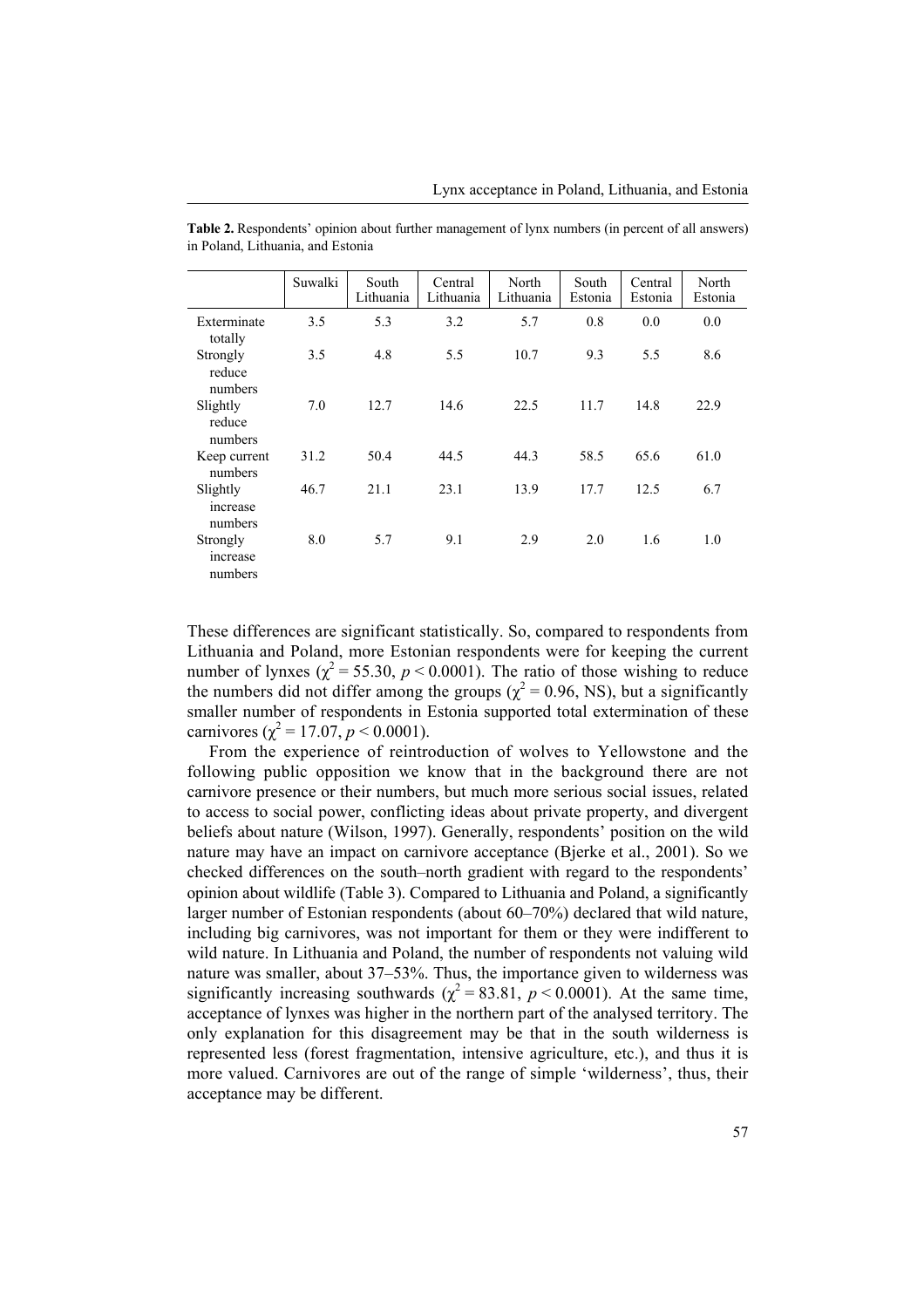|                                 | Suwalki | South<br>Lithuania | Central<br>Lithuania | North<br>Lithuania | South<br>Estonia | Central<br>Estonia | North<br>Estonia |
|---------------------------------|---------|--------------------|----------------------|--------------------|------------------|--------------------|------------------|
| Exterminate<br>totally          | 3.5     | 5.3                | 3.2                  | 5.7                | 0.8              | 0.0                | 0.0              |
| Strongly<br>reduce<br>numbers   | 3.5     | 4.8                | 5.5                  | 10.7               | 9.3              | 5.5                | 8.6              |
| Slightly<br>reduce<br>numbers   | 7.0     | 12.7               | 14.6                 | 22.5               | 11.7             | 14.8               | 22.9             |
| Keep current<br>numbers         | 31.2    | 50.4               | 44.5                 | 44.3               | 58.5             | 65.6               | 61.0             |
| Slightly<br>increase<br>numbers | 46.7    | 21.1               | 23.1                 | 13.9               | 17.7             | 12.5               | 6.7              |
| Strongly<br>increase<br>numbers | 8.0     | 5.7                | 9.1                  | 2.9                | 2.0              | 1.6                | 1.0              |

**Table 2.** Respondentsí opinion about further management of lynx numbers (in percent of all answers) in Poland, Lithuania, and Estonia

These differences are significant statistically. So, compared to respondents from Lithuania and Poland, more Estonian respondents were for keeping the current number of lynxes ( $\chi^2$  = 55.30, *p* < 0.0001). The ratio of those wishing to reduce the numbers did not differ among the groups ( $\chi^2$  = 0.96, NS), but a significantly smaller number of respondents in Estonia supported total extermination of these carnivores ( $\chi^2 = 17.07$ ,  $p < 0.0001$ ).

From the experience of reintroduction of wolves to Yellowstone and the following public opposition we know that in the background there are not carnivore presence or their numbers, but much more serious social issues, related to access to social power, conflicting ideas about private property, and divergent beliefs about nature (Wilson, 1997). Generally, respondents' position on the wild nature may have an impact on carnivore acceptance (Bjerke et al., 2001). So we checked differences on the south-north gradient with regard to the respondents<sup>7</sup> opinion about wildlife (Table 3). Compared to Lithuania and Poland, a significantly larger number of Estonian respondents (about  $60-70\%$ ) declared that wild nature, including big carnivores, was not important for them or they were indifferent to wild nature. In Lithuania and Poland, the number of respondents not valuing wild nature was smaller, about 37-53%. Thus, the importance given to wilderness was significantly increasing southwards ( $\chi^2 = 83.81$ ,  $p < 0.0001$ ). At the same time, acceptance of lynxes was higher in the northern part of the analysed territory. The only explanation for this disagreement may be that in the south wilderness is represented less (forest fragmentation, intensive agriculture, etc.), and thus it is more valued. Carnivores are out of the range of simple 'wilderness', thus, their acceptance may be different.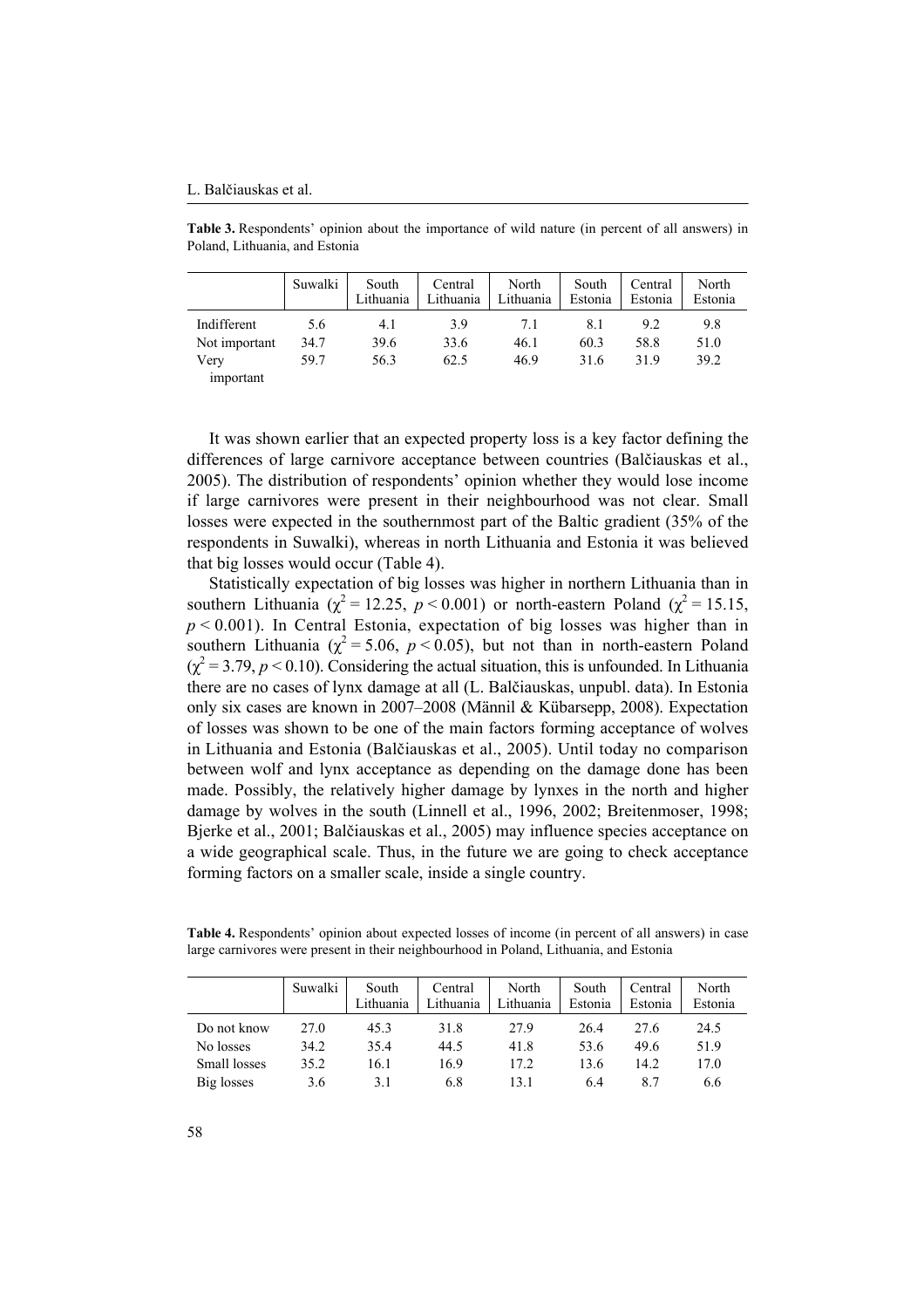#### L. Balčiauskas et al.

Table 3. Respondents' opinion about the importance of wild nature (in percent of all answers) in Poland, Lithuania, and Estonia

|               | Suwalki | South<br>Lithuania | Central<br>Lithuania | North<br>Lithuania | South<br>Estonia | Central<br>Estonia | North<br>Estonia |
|---------------|---------|--------------------|----------------------|--------------------|------------------|--------------------|------------------|
| Indifferent   | 5.6     | 4.1                | 39                   | 7.1                | 8.1              | 9.2                | 9.8              |
| Not important | 34.7    | 39.6               | 33.6                 | 46.1               | 60.3             | 58.8               | 51.0             |
| Very          | 59.7    | 56.3               | 62.5                 | 46.9               | 31.6             | 319                | 39.2             |
| important     |         |                    |                      |                    |                  |                    |                  |

It was shown earlier that an expected property loss is a key factor defining the differences of large carnivore acceptance between countries (Balčiauskas et al., 2005). The distribution of respondents' opinion whether they would lose income if large carnivores were present in their neighbourhood was not clear. Small losses were expected in the southernmost part of the Baltic gradient (35% of the respondents in Suwalki), whereas in north Lithuania and Estonia it was believed that big losses would occur (Table 4).

Statistically expectation of big losses was higher in northern Lithuania than in southern Lithuania ( $\chi^2 = 12.25$ ,  $p < 0.001$ ) or north-eastern Poland ( $\chi^2 = 15.15$ , *p* < 0.001). In Central Estonia, expectation of big losses was higher than in southern Lithuania ( $\chi^2$  = 5.06, *p* < 0.05), but not than in north-eastern Poland  $(\chi^2 = 3.79, p < 0.10)$ . Considering the actual situation, this is unfounded. In Lithuania there are no cases of lynx damage at all (L. Balčiauskas, unpubl. data). In Estonia only six cases are known in 2007–2008 (Männil & Kübarsepp, 2008). Expectation of losses was shown to be one of the main factors forming acceptance of wolves in Lithuania and Estonia (Balčiauskas et al., 2005). Until today no comparison between wolf and lynx acceptance as depending on the damage done has been made. Possibly, the relatively higher damage by lynxes in the north and higher damage by wolves in the south (Linnell et al., 1996, 2002; Breitenmoser, 1998; Bjerke et al., 2001; Balčiauskas et al., 2005) may influence species acceptance on a wide geographical scale. Thus, in the future we are going to check acceptance forming factors on a smaller scale, inside a single country.

**Table 4.** Respondentsí opinion about expected losses of income (in percent of all answers) in case large carnivores were present in their neighbourhood in Poland, Lithuania, and Estonia

|              | Suwalki | South<br>Lithuania | Central<br>Lithuania | North<br>Lithuania | South<br>Estonia | Central<br>Estonia | North<br>Estonia |
|--------------|---------|--------------------|----------------------|--------------------|------------------|--------------------|------------------|
| Do not know  | 27.0    | 45.3               | 31.8                 | 27.9               | 26.4             | 27.6               | 24.5             |
| No losses    | 34.2    | 35.4               | 44.5                 | 41.8               | 53.6             | 49.6               | 51.9             |
| Small losses | 35.2    | 16.1               | 16.9                 | 17.2               | 13.6             | 14.2               | 17.0             |
| Big losses   | 3.6     | 3.1                | 6.8                  | 131                | 6.4              | 87                 | 6.6              |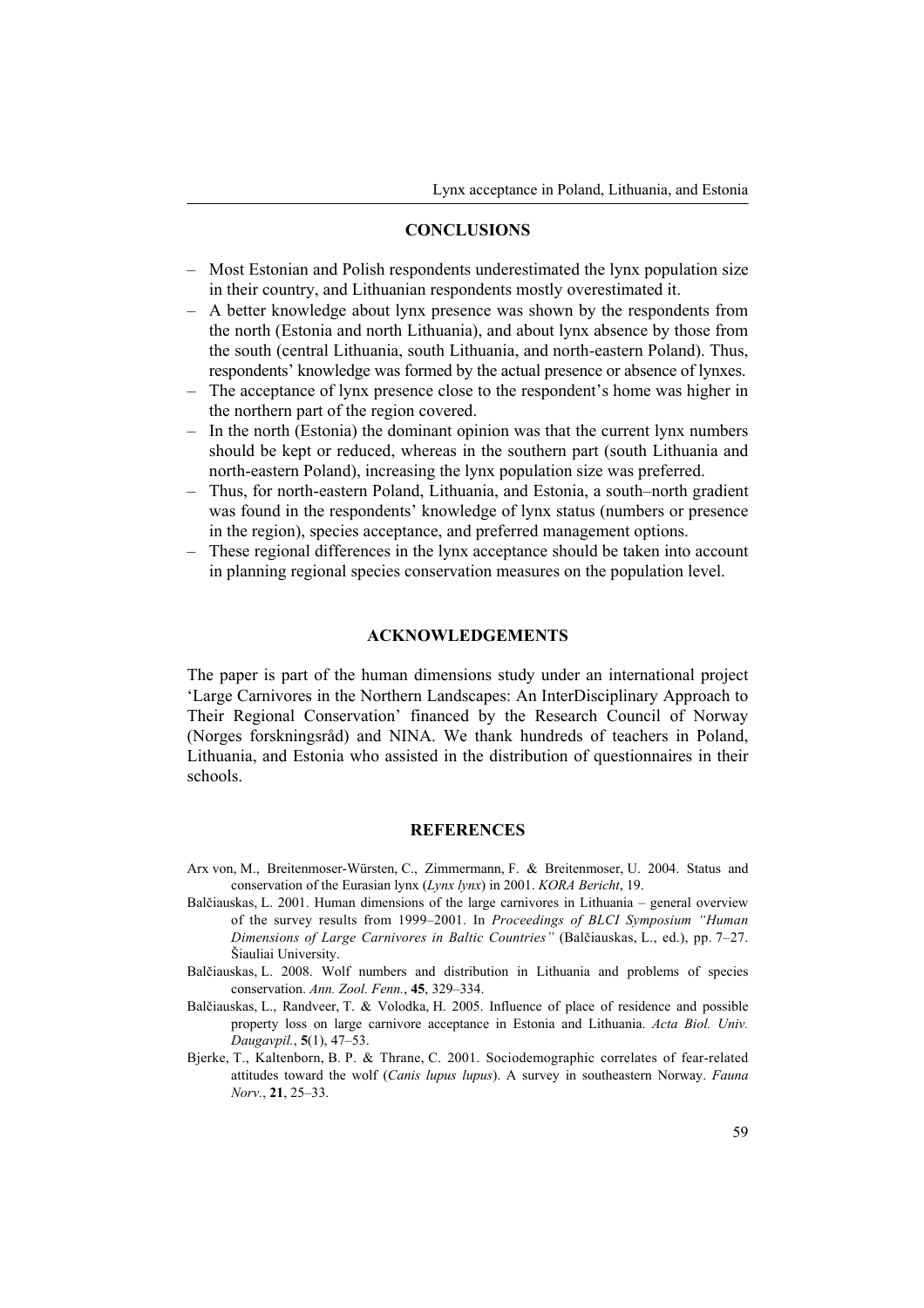## **CONCLUSIONS**

- $\overline{\phantom{a}}$  Most Estonian and Polish respondents underestimated the lynx population size in their country, and Lithuanian respondents mostly overestimated it.
- A better knowledge about lynx presence was shown by the respondents from the north (Estonia and north Lithuania), and about lynx absence by those from the south (central Lithuania, south Lithuania, and north-eastern Poland). Thus, respondents' knowledge was formed by the actual presence or absence of lynxes.
- The acceptance of lynx presence close to the respondent's home was higher in the northern part of the region covered.
- $\overline{a}$  In the north (Estonia) the dominant opinion was that the current lynx numbers should be kept or reduced, whereas in the southern part (south Lithuania and north-eastern Poland), increasing the lynx population size was preferred.
- Thus, for north-eastern Poland, Lithuania, and Estonia, a south-north gradient was found in the respondents' knowledge of lynx status (numbers or presence in the region), species acceptance, and preferred management options.
- These regional differences in the lynx acceptance should be taken into account in planning regional species conservation measures on the population level.

## **ACKNOWLEDGEMENTS**

The paper is part of the human dimensions study under an international project ëLarge Carnivores in the Northern Landscapes: An InterDisciplinary Approach to Their Regional Conservation' financed by the Research Council of Norway (Norges forskningsrÂd) and NINA. We thank hundreds of teachers in Poland, Lithuania, and Estonia who assisted in the distribution of questionnaires in their schools.

## **REFERENCES**

- Arx von, M., Breitenmoser-Würsten, C., Zimmermann, F. & Breitenmoser, U. 2004. Status and conservation of the Eurasian lynx (*Lynx lynx*) in 2001. *KORA Bericht*, 19.
- Balčiauskas, L. 2001. Human dimensions of the large carnivores in Lithuania general overview of the survey results from 1999–2001. In *Proceedings of BLCI Symposium "Human Dimensions of Large Carnivores in Baltic Countries*" (Balčiauskas, L., ed.), pp. 7–27. Šiauliai University.
- Balčiauskas, L. 2008. Wolf numbers and distribution in Lithuania and problems of species conservation. Ann. Zool. Fenn., 45, 329-334.
- Balčiauskas, L., Randveer, T. & Volodka, H. 2005. Influence of place of residence and possible property loss on large carnivore acceptance in Estonia and Lithuania. *Acta Biol. Univ. Daugavpil.*, **5**(1), 47-53.
- Bjerke, T., Kaltenborn, B. P. & Thrane, C. 2001. Sociodemographic correlates of fear-related attitudes toward the wolf (*Canis lupus lupus*). A survey in southeastern Norway. *Fauna Norv.*, 21, 25–33.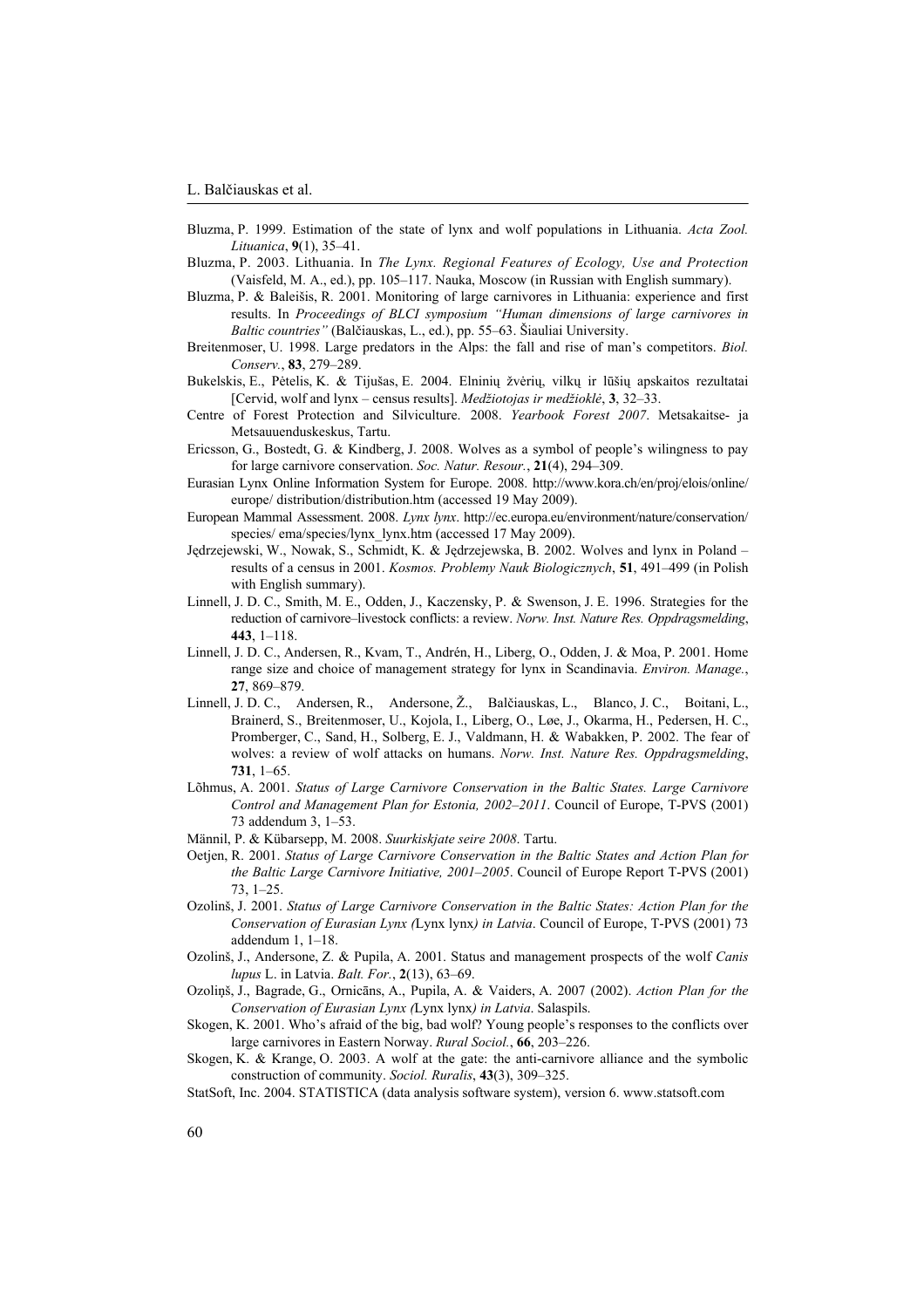- Bluzma, P. 1999. Estimation of the state of lynx and wolf populations in Lithuania. *Acta Zool. Lituanica*, 9(1), 35-41.
- Bluzma, P. 2003. Lithuania. In *The Lynx. Regional Features of Ecology, Use and Protection* (Vaisfeld, M. A., ed.), pp. 105-117. Nauka, Moscow (in Russian with English summary).
- Bluzma, P. & Baleiöis, R. 2001. Monitoring of large carnivores in Lithuania: experience and first results. In Proceedings of BLCI symposium "Human dimensions of large carnivores in Baltic countries" (Balčiauskas, L., ed.), pp. 55-63. Šiauliai University.
- Breitenmoser, U. 1998. Large predators in the Alps: the fall and rise of manís competitors. *Biol. Conserv.*, 83, 279-289.
- Bukelskis, E., Pėtelis, K. & Tijušas, E. 2004. Elninių žvėrių, vilkų ir lūšių apskaitos rezultatai [Cervid, wolf and lynx – census results]. *Medžiotojas ir medžioklė*, 3, 32–33.
- Centre of Forest Protection and Silviculture. 2008. *Yearbook Forest 2007*. Metsakaitse- ja Metsauuenduskeskus, Tartu.
- Ericsson, G., Bostedt, G. & Kindberg, J. 2008. Wolves as a symbol of people's wilingness to pay for large carnivore conservation. *Soc. Natur. Resour.*, 21(4), 294-309.
- Eurasian Lynx Online Information System for Europe. 2008. http://www.kora.ch/en/proj/elois/online/ europe/ distribution/distribution.htm (accessed 19 May 2009).
- European Mammal Assessment. 2008. *Lynx lynx*. http://ec.europa.eu/environment/nature/conservation/ species/ ema/species/lynx\_lynx.htm (accessed 17 May 2009).
- Jędrzejewski, W., Nowak, S., Schmidt, K. & Jędrzejewska, B. 2002. Wolves and lynx in Poland results of a census in 2001. *Kosmos. Problemy Nauk Biologicznych*, **51**, 491–499 (in Polish with English summary).
- Linnell, J. D. C., Smith, M. E., Odden, J., Kaczensky, P. & Swenson, J. E. 1996. Strategies for the reduction of carnivore-livestock conflicts: a review. *Norw. Inst. Nature Res. Oppdragsmelding*, **443**, 1–118.
- Linnell, J. D. C., Andersen, R., Kvam, T., Andrén, H., Liberg, O., Odden, J. & Moa, P. 2001. Home range size and choice of management strategy for lynx in Scandinavia. *Environ. Manage.*, **27**, 869-879.
- Linnell, J. D. C., Andersen, R., Andersone, Ž., Balčiauskas, L., Blanco, J. C., Boitani, L., Brainerd, S., Breitenmoser, U., Kojola, I., Liberg, O., Løe, J., Okarma, H., Pedersen, H. C., Promberger, C., Sand, H., Solberg, E. J., Valdmann, H. & Wabakken, P. 2002. The fear of wolves: a review of wolf attacks on humans. *Norw. Inst. Nature Res. Oppdragsmelding*, **731**, 1–65.
- Lõhmus, A. 2001. *Status of Large Carnivore Conservation in the Baltic States. Large Carnivore Control and Management Plan for Estonia, 2002-2011.* Council of Europe, T-PVS (2001) 73 addendum 3,  $1-53$ .
- Männil, P. & Kübarsepp, M. 2008. *Suurkiskjate seire 2008*. Tartu.
- Oetjen, R. 2001. *Status of Large Carnivore Conservation in the Baltic States and Action Plan for the Baltic Large Carnivore Initiative, 2001–2005*. Council of Europe Report T-PVS (2001)  $73, 1 - 25.$
- Ozolinö, J. 2001. *Status of Large Carnivore Conservation in the Baltic States: Action Plan for the Conservation of Eurasian Lynx (*Lynx lynx*) in Latvia*. Council of Europe, T-PVS (2001) 73 addendum  $1, 1-18.$
- Ozolinö, J., Andersone, Z. & Pupila, A. 2001. Status and management prospects of the wolf *Canis lupus* L. in Latvia. *Balt. For.*, 2(13), 63-69.
- Ozoliņö, J., Bagrade, G., Ornicāns, A., Pupila, A. & Vaiders, A. 2007 (2002). *Action Plan for the Conservation of Eurasian Lynx (*Lynx lynx*) in Latvia*. Salaspils.
- Skogen, K. 2001. Who's afraid of the big, bad wolf? Young people's responses to the conflicts over large carnivores in Eastern Norway. *Rural Sociol.*, 66, 203-226.
- Skogen, K. & Krange, O. 2003. A wolf at the gate: the anti-carnivore alliance and the symbolic construction of community. *Sociol. Ruralis*, 43(3), 309-325.
- StatSoft, Inc. 2004. STATISTICA (data analysis software system), version 6. www.statsoft.com